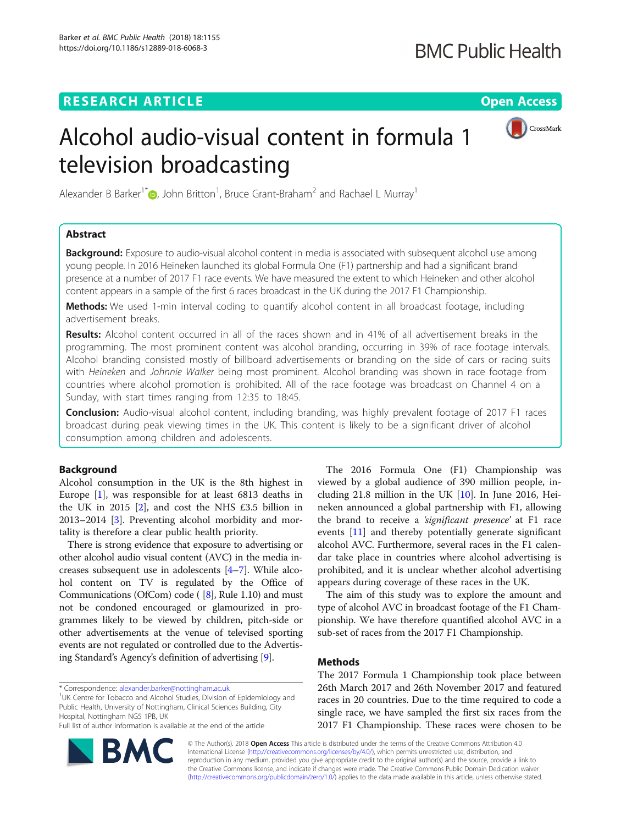# **RESEARCH ARTICLE Example 2014 CONSUMING A RESEARCH ARTICLE**



# Alcohol audio-visual content in formula 1 television broadcasting

Alexander B Barker<sup>1\*</sup><sup>®</sup>[,](http://orcid.org/0000-0003-4568-5114) John Britton<sup>1</sup>, Bruce Grant-Braham<sup>2</sup> and Rachael L Murray<sup>1</sup>

# Abstract

**Background:** Exposure to audio-visual alcohol content in media is associated with subsequent alcohol use among young people. In 2016 Heineken launched its global Formula One (F1) partnership and had a significant brand presence at a number of 2017 F1 race events. We have measured the extent to which Heineken and other alcohol content appears in a sample of the first 6 races broadcast in the UK during the 2017 F1 Championship.

Methods: We used 1-min interval coding to quantify alcohol content in all broadcast footage, including advertisement breaks.

Results: Alcohol content occurred in all of the races shown and in 41% of all advertisement breaks in the programming. The most prominent content was alcohol branding, occurring in 39% of race footage intervals. Alcohol branding consisted mostly of billboard advertisements or branding on the side of cars or racing suits with Heineken and Johnnie Walker being most prominent. Alcohol branding was shown in race footage from countries where alcohol promotion is prohibited. All of the race footage was broadcast on Channel 4 on a Sunday, with start times ranging from 12:35 to 18:45.

**Conclusion:** Audio-visual alcohol content, including branding, was highly prevalent footage of 2017 F1 races broadcast during peak viewing times in the UK. This content is likely to be a significant driver of alcohol consumption among children and adolescents.

# Background

Alcohol consumption in the UK is the 8th highest in Europe [\[1](#page-4-0)], was responsible for at least 6813 deaths in the UK in 2015  $[2]$  $[2]$ , and cost the NHS £3.5 billion in 2013–2014 [\[3](#page-4-0)]. Preventing alcohol morbidity and mortality is therefore a clear public health priority.

There is strong evidence that exposure to advertising or other alcohol audio visual content (AVC) in the media increases subsequent use in adolescents [\[4](#page-4-0)–[7\]](#page-4-0). While alcohol content on TV is regulated by the Office of Communications (OfCom) code ( [\[8](#page-4-0)], Rule 1.10) and must not be condoned encouraged or glamourized in programmes likely to be viewed by children, pitch-side or other advertisements at the venue of televised sporting events are not regulated or controlled due to the Advertising Standard's Agency's definition of advertising [\[9\]](#page-4-0).

\* Correspondence: [alexander.barker@nottingham.ac.uk](mailto:alexander.barker@nottingham.ac.uk) <sup>1</sup>

<sup>1</sup>UK Centre for Tobacco and Alcohol Studies, Division of Epidemiology and Public Health, University of Nottingham, Clinical Sciences Building, City Hospital, Nottingham NG5 1PB, UK

Full list of author information is available at the end of the article



The 2016 Formula One (F1) Championship was viewed by a global audience of 390 million people, including 21.8 million in the UK [\[10](#page-4-0)]. In June 2016, Heineken announced a global partnership with F1, allowing the brand to receive a *'significant presence'* at F1 race events [\[11](#page-4-0)] and thereby potentially generate significant alcohol AVC. Furthermore, several races in the F1 calendar take place in countries where alcohol advertising is prohibited, and it is unclear whether alcohol advertising appears during coverage of these races in the UK.

The aim of this study was to explore the amount and type of alcohol AVC in broadcast footage of the F1 Championship. We have therefore quantified alcohol AVC in a sub-set of races from the 2017 F1 Championship.

# Methods

The 2017 Formula 1 Championship took place between 26th March 2017 and 26th November 2017 and featured races in 20 countries. Due to the time required to code a single race, we have sampled the first six races from the 2017 F1 Championship. These races were chosen to be

© The Author(s). 2018 Open Access This article is distributed under the terms of the Creative Commons Attribution 4.0 International License [\(http://creativecommons.org/licenses/by/4.0/](http://creativecommons.org/licenses/by/4.0/)), which permits unrestricted use, distribution, and reproduction in any medium, provided you give appropriate credit to the original author(s) and the source, provide a link to the Creative Commons license, and indicate if changes were made. The Creative Commons Public Domain Dedication waiver [\(http://creativecommons.org/publicdomain/zero/1.0/](http://creativecommons.org/publicdomain/zero/1.0/)) applies to the data made available in this article, unless otherwise stated.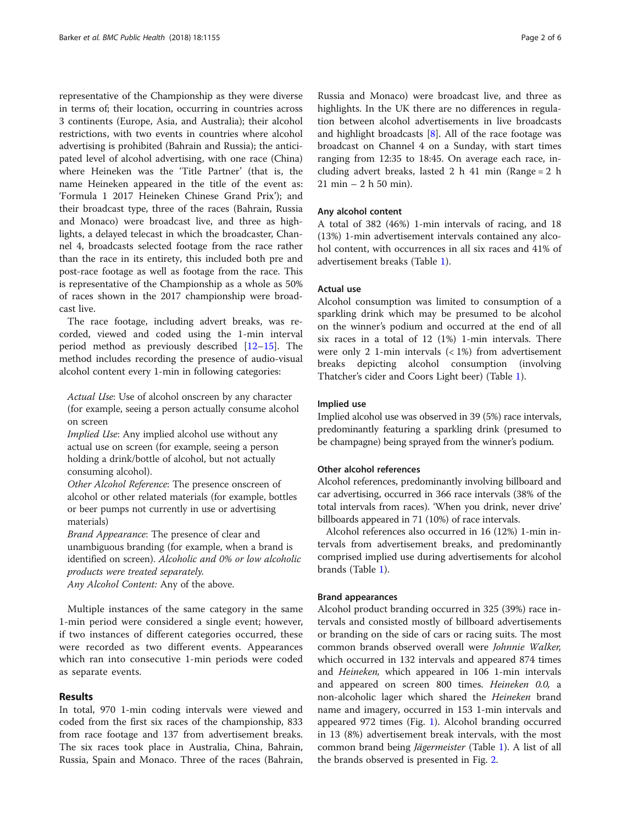representative of the Championship as they were diverse in terms of; their location, occurring in countries across 3 continents (Europe, Asia, and Australia); their alcohol restrictions, with two events in countries where alcohol advertising is prohibited (Bahrain and Russia); the anticipated level of alcohol advertising, with one race (China) where Heineken was the 'Title Partner' (that is, the name Heineken appeared in the title of the event as: 'Formula 1 2017 Heineken Chinese Grand Prix'); and their broadcast type, three of the races (Bahrain, Russia and Monaco) were broadcast live, and three as highlights, a delayed telecast in which the broadcaster, Channel 4, broadcasts selected footage from the race rather than the race in its entirety, this included both pre and post-race footage as well as footage from the race. This is representative of the Championship as a whole as 50% of races shown in the 2017 championship were broadcast live.

The race footage, including advert breaks, was recorded, viewed and coded using the 1-min interval period method as previously described [\[12](#page-4-0)–[15\]](#page-5-0). The method includes recording the presence of audio-visual alcohol content every 1-min in following categories:

Actual Use: Use of alcohol onscreen by any character (for example, seeing a person actually consume alcohol on screen

Implied Use: Any implied alcohol use without any actual use on screen (for example, seeing a person holding a drink/bottle of alcohol, but not actually consuming alcohol).

Other Alcohol Reference: The presence onscreen of alcohol or other related materials (for example, bottles or beer pumps not currently in use or advertising materials)

Brand Appearance: The presence of clear and unambiguous branding (for example, when a brand is identified on screen). Alcoholic and 0% or low alcoholic products were treated separately.

Any Alcohol Content: Any of the above.

Multiple instances of the same category in the same 1-min period were considered a single event; however, if two instances of different categories occurred, these were recorded as two different events. Appearances which ran into consecutive 1-min periods were coded as separate events.

# Results

In total, 970 1-min coding intervals were viewed and coded from the first six races of the championship, 833 from race footage and 137 from advertisement breaks. The six races took place in Australia, China, Bahrain, Russia, Spain and Monaco. Three of the races (Bahrain,

Russia and Monaco) were broadcast live, and three as highlights. In the UK there are no differences in regulation between alcohol advertisements in live broadcasts and highlight broadcasts  $[8]$  $[8]$ . All of the race footage was broadcast on Channel 4 on a Sunday, with start times ranging from 12:35 to 18:45. On average each race, including advert breaks, lasted  $2 h 41 min (Range = 2 h)$ 21 min – 2 h 50 min).

## Any alcohol content

A total of 382 (46%) 1-min intervals of racing, and 18 (13%) 1-min advertisement intervals contained any alcohol content, with occurrences in all six races and 41% of advertisement breaks (Table [1](#page-2-0)).

# Actual use

Alcohol consumption was limited to consumption of a sparkling drink which may be presumed to be alcohol on the winner's podium and occurred at the end of all six races in a total of 12 (1%) 1-min intervals. There were only 2 1-min intervals  $(< 1\%)$  from advertisement breaks depicting alcohol consumption (involving Thatcher's cider and Coors Light beer) (Table [1\)](#page-2-0).

# Implied use

Implied alcohol use was observed in 39 (5%) race intervals, predominantly featuring a sparkling drink (presumed to be champagne) being sprayed from the winner's podium.

#### Other alcohol references

Alcohol references, predominantly involving billboard and car advertising, occurred in 366 race intervals (38% of the total intervals from races). 'When you drink, never drive' billboards appeared in 71 (10%) of race intervals.

Alcohol references also occurred in 16 (12%) 1-min intervals from advertisement breaks, and predominantly comprised implied use during advertisements for alcohol brands (Table [1\)](#page-2-0).

# Brand appearances

Alcohol product branding occurred in 325 (39%) race intervals and consisted mostly of billboard advertisements or branding on the side of cars or racing suits. The most common brands observed overall were Johnnie Walker, which occurred in 132 intervals and appeared 874 times and Heineken, which appeared in 106 1-min intervals and appeared on screen 800 times. Heineken 0.0, a non-alcoholic lager which shared the *Heineken* brand name and imagery, occurred in 153 1-min intervals and appeared 972 times (Fig. [1\)](#page-2-0). Alcohol branding occurred in 13 (8%) advertisement break intervals, with the most common brand being Jägermeister (Table [1](#page-2-0)). A list of all the brands observed is presented in Fig. [2.](#page-3-0)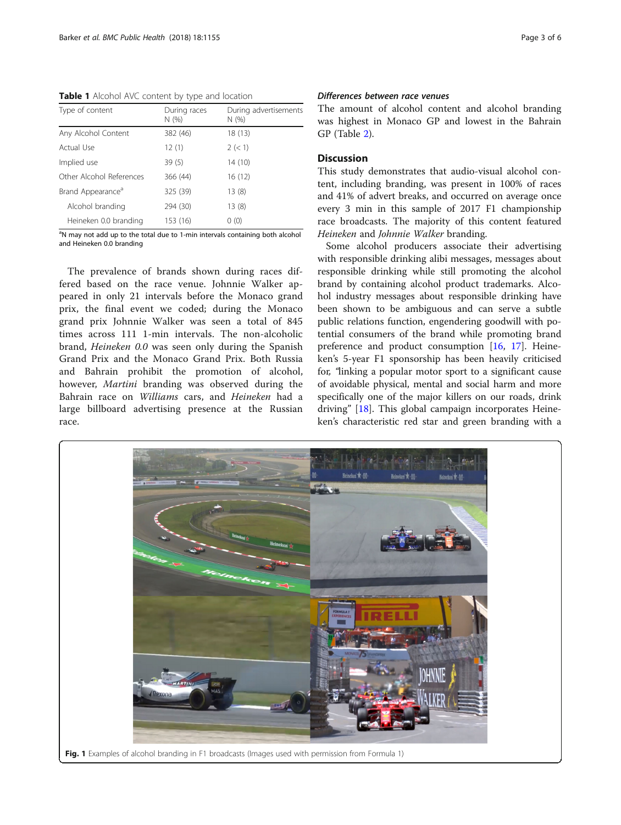<span id="page-2-0"></span>Table 1 Alcohol AVC content by type and location

| Type of content               | During races<br>N(% ) | During advertisements<br>N(% ) |  |
|-------------------------------|-----------------------|--------------------------------|--|
| Any Alcohol Content           | 382 (46)              | 18(13)                         |  |
| Actual Use                    | 12(1)                 | 2 (< 1)                        |  |
| Implied use                   | 39 (5)                | 14 (10)                        |  |
| Other Alcohol References      | 366 (44)              | 16(12)                         |  |
| Brand Appearance <sup>a</sup> | 325 (39)              | 13(8)                          |  |
| Alcohol branding              | 294 (30)              | 13(8)                          |  |
| Heineken 0.0 branding         | 153 (16)              | 0(0)                           |  |

<sup>a</sup>N may not add up to the total due to 1-min intervals containing both alcohol and Heineken 0.0 branding

The prevalence of brands shown during races differed based on the race venue. Johnnie Walker appeared in only 21 intervals before the Monaco grand prix, the final event we coded; during the Monaco grand prix Johnnie Walker was seen a total of 845 times across 111 1-min intervals. The non-alcoholic brand, Heineken 0.0 was seen only during the Spanish Grand Prix and the Monaco Grand Prix. Both Russia and Bahrain prohibit the promotion of alcohol, however, Martini branding was observed during the Bahrain race on Williams cars, and Heineken had a large billboard advertising presence at the Russian race.

## Differences between race venues

The amount of alcohol content and alcohol branding was highest in Monaco GP and lowest in the Bahrain GP (Table [2\)](#page-3-0).

# Discussion

This study demonstrates that audio-visual alcohol content, including branding, was present in 100% of races and 41% of advert breaks, and occurred on average once every 3 min in this sample of 2017 F1 championship race broadcasts. The majority of this content featured Heineken and Johnnie Walker branding.

Some alcohol producers associate their advertising with responsible drinking alibi messages, messages about responsible drinking while still promoting the alcohol brand by containing alcohol product trademarks. Alcohol industry messages about responsible drinking have been shown to be ambiguous and can serve a subtle public relations function, engendering goodwill with potential consumers of the brand while promoting brand preference and product consumption [[16,](#page-5-0) [17](#page-5-0)]. Heineken's 5-year F1 sponsorship has been heavily criticised for, "linking a popular motor sport to a significant cause of avoidable physical, mental and social harm and more specifically one of the major killers on our roads, drink driving" [[18\]](#page-5-0). This global campaign incorporates Heineken's characteristic red star and green branding with a

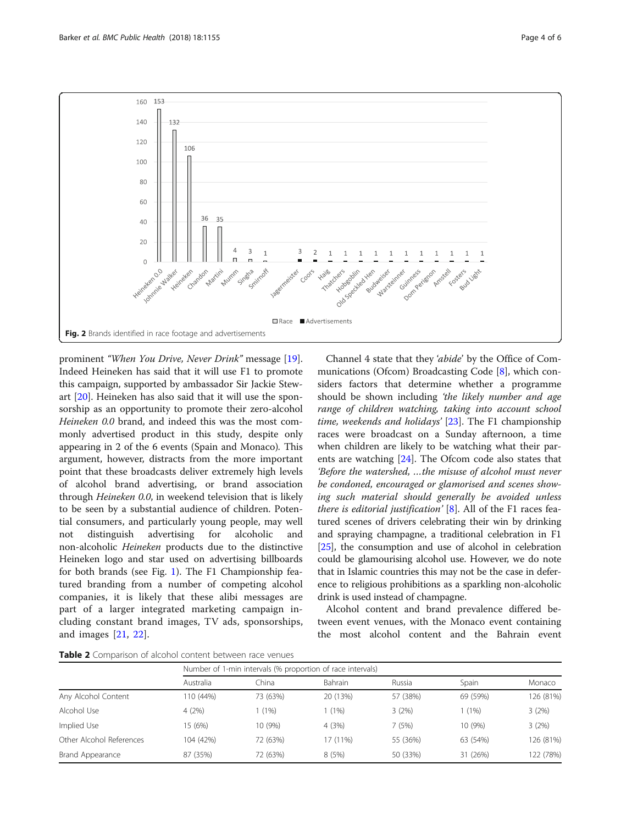<span id="page-3-0"></span>

prominent "When You Drive, Never Drink" message [\[19](#page-5-0)]. Indeed Heineken has said that it will use F1 to promote this campaign, supported by ambassador Sir Jackie Stewart [\[20](#page-5-0)]. Heineken has also said that it will use the sponsorship as an opportunity to promote their zero-alcohol Heineken 0.0 brand, and indeed this was the most commonly advertised product in this study, despite only appearing in 2 of the 6 events (Spain and Monaco). This argument, however, distracts from the more important point that these broadcasts deliver extremely high levels of alcohol brand advertising, or brand association through Heineken 0.0, in weekend television that is likely to be seen by a substantial audience of children. Potential consumers, and particularly young people, may well not distinguish advertising for alcoholic and non-alcoholic Heineken products due to the distinctive Heineken logo and star used on advertising billboards for both brands (see Fig. [1\)](#page-2-0). The F1 Championship featured branding from a number of competing alcohol companies, it is likely that these alibi messages are part of a larger integrated marketing campaign including constant brand images, TV ads, sponsorships, and images [[21,](#page-5-0) [22\]](#page-5-0).

Channel 4 state that they 'abide' by the Office of Communications (Ofcom) Broadcasting Code [\[8](#page-4-0)], which considers factors that determine whether a programme should be shown including 'the likely number and age range of children watching, taking into account school time, weekends and holidays' [[23\]](#page-5-0). The F1 championship races were broadcast on a Sunday afternoon, a time when children are likely to be watching what their par-ents are watching [\[24](#page-5-0)]. The Ofcom code also states that 'Before the watershed, …the misuse of alcohol must never be condoned, encouraged or glamorised and scenes showing such material should generally be avoided unless there is editorial justification'  $[8]$  $[8]$ . All of the F1 races featured scenes of drivers celebrating their win by drinking and spraying champagne, a traditional celebration in F1 [[25](#page-5-0)], the consumption and use of alcohol in celebration could be glamourising alcohol use. However, we do note that in Islamic countries this may not be the case in deference to religious prohibitions as a sparkling non-alcoholic drink is used instead of champagne.

Alcohol content and brand prevalence differed between event venues, with the Monaco event containing the most alcohol content and the Bahrain event

Table 2 Comparison of alcohol content between race venues

|                          |           | Number of 1-min intervals (% proportion of race intervals) |          |          |          |           |  |  |
|--------------------------|-----------|------------------------------------------------------------|----------|----------|----------|-----------|--|--|
|                          | Australia | China                                                      | Bahrain  | Russia   | Spain    | Monaco    |  |  |
| Any Alcohol Content      | 110 (44%) | 73 (63%)                                                   | 20 (13%) | 57 (38%) | 69 (59%) | 126 (81%) |  |  |
| Alcohol Use              | 4(2%)     | (1%)                                                       | (1%)     | 3(2%)    | (1%)     | 3(2%)     |  |  |
| Implied Use              | 15 (6%)   | 10 (9%)                                                    | 4 (3%)   | 7 (5%)   | 10 (9%)  | 3(2%)     |  |  |
| Other Alcohol References | 104 (42%) | 72 (63%)                                                   | 17 (11%) | 55 (36%) | 63 (54%) | 126 (81%) |  |  |
| Brand Appearance         | 87 (35%)  | 72 (63%)                                                   | 8(5%)    | 50 (33%) | 31 (26%) | 122 (78%) |  |  |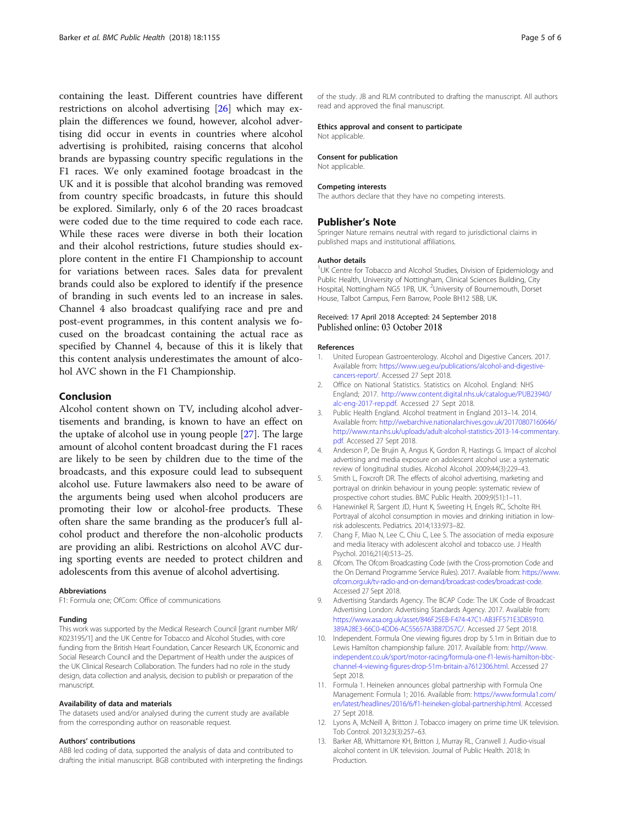<span id="page-4-0"></span>containing the least. Different countries have different restrictions on alcohol advertising [\[26\]](#page-5-0) which may explain the differences we found, however, alcohol advertising did occur in events in countries where alcohol advertising is prohibited, raising concerns that alcohol brands are bypassing country specific regulations in the F1 races. We only examined footage broadcast in the UK and it is possible that alcohol branding was removed from country specific broadcasts, in future this should be explored. Similarly, only 6 of the 20 races broadcast were coded due to the time required to code each race. While these races were diverse in both their location and their alcohol restrictions, future studies should explore content in the entire F1 Championship to account for variations between races. Sales data for prevalent brands could also be explored to identify if the presence of branding in such events led to an increase in sales. Channel 4 also broadcast qualifying race and pre and post-event programmes, in this content analysis we focused on the broadcast containing the actual race as specified by Channel 4, because of this it is likely that this content analysis underestimates the amount of alcohol AVC shown in the F1 Championship.

### Conclusion

Alcohol content shown on TV, including alcohol advertisements and branding, is known to have an effect on the uptake of alcohol use in young people [[27\]](#page-5-0). The large amount of alcohol content broadcast during the F1 races are likely to be seen by children due to the time of the broadcasts, and this exposure could lead to subsequent alcohol use. Future lawmakers also need to be aware of the arguments being used when alcohol producers are promoting their low or alcohol-free products. These often share the same branding as the producer's full alcohol product and therefore the non-alcoholic products are providing an alibi. Restrictions on alcohol AVC during sporting events are needed to protect children and adolescents from this avenue of alcohol advertising.

#### Abbreviations

F1: Formula one; OfCom: Office of communications

#### Funding

This work was supported by the Medical Research Council [grant number MR/ K023195/1] and the UK Centre for Tobacco and Alcohol Studies, with core funding from the British Heart Foundation, Cancer Research UK, Economic and Social Research Council and the Department of Health under the auspices of the UK Clinical Research Collaboration. The funders had no role in the study design, data collection and analysis, decision to publish or preparation of the manuscript.

#### Availability of data and materials

The datasets used and/or analysed during the current study are available from the corresponding author on reasonable request.

#### Authors' contributions

ABB led coding of data, supported the analysis of data and contributed to drafting the initial manuscript. BGB contributed with interpreting the findings of the study. JB and RLM contributed to drafting the manuscript. All authors read and approved the final manuscript.

#### Ethics approval and consent to participate

Not applicable.

#### Consent for publication

Not applicable.

#### Competing interests

The authors declare that they have no competing interests.

#### Publisher's Note

Springer Nature remains neutral with regard to jurisdictional claims in published maps and institutional affiliations.

#### Author details

<sup>1</sup>UK Centre for Tobacco and Alcohol Studies, Division of Epidemiology and Public Health, University of Nottingham, Clinical Sciences Building, City Hospital, Nottingham NG5 1PB, UK. <sup>2</sup>University of Bournemouth, Dorset House, Talbot Campus, Fern Barrow, Poole BH12 5BB, UK.

## Received: 17 April 2018 Accepted: 24 September 2018 Published online: 03 October 2018

#### References

- 1. United European Gastroenterology. Alcohol and Digestive Cancers. 2017. Available from: [https://www.ueg.eu/publications/alcohol-and-digestive](https://www.ueg.eu/publications/alcohol-and-digestive-cancers-report/)[cancers-report/.](https://www.ueg.eu/publications/alcohol-and-digestive-cancers-report/) Accessed 27 Sept 2018.
- 2. Office on National Statistics. Statistics on Alcohol. England: NHS England; 2017. [http://www.content.digital.nhs.uk/catalogue/PUB23940/](http://www.content.digital.nhs.uk/catalogue/PUB23940/alc-eng-2017-rep.pdf:) [alc-eng-2017-rep.pdf](http://www.content.digital.nhs.uk/catalogue/PUB23940/alc-eng-2017-rep.pdf:). Accessed 27 Sept 2018.
- 3. Public Health England. Alcohol treatment in England 2013–14. 2014. Available from: [http://webarchive.nationalarchives.gov.uk/20170807160646/](http://webarchive.nationalarchives.gov.uk/20170807160646/http://www.nta.nhs.uk/uploads/adult-alcohol-statistics-2013-14-commentary.pdf) [http://www.nta.nhs.uk/uploads/adult-alcohol-statistics-2013-14-commentary.](http://webarchive.nationalarchives.gov.uk/20170807160646/http://www.nta.nhs.uk/uploads/adult-alcohol-statistics-2013-14-commentary.pdf) [pdf](http://webarchive.nationalarchives.gov.uk/20170807160646/http://www.nta.nhs.uk/uploads/adult-alcohol-statistics-2013-14-commentary.pdf). Accessed 27 Sept 2018.
- 4. Anderson P, De Brujin A, Angus K, Gordon R, Hastings G. Impact of alcohol advertising and media exposure on adolescent alcohol use: a systematic review of longitudinal studies. Alcohol Alcohol. 2009;44(3):229–43.
- 5. Smith L, Foxcroft DR. The effects of alcohol advertising, marketing and portrayal on drinkin behaviour in young people: systematic review of prospective cohort studies. BMC Public Health. 2009;9(51):1–11.
- 6. Hanewinkel R, Sargent JD, Hunt K, Sweeting H, Engels RC, Scholte RH. Portrayal of alcohol consumption in movies and drinking initiation in lowrisk adolescents. Pediatrics. 2014;133:973–82.
- 7. Chang F, Miao N, Lee C, Chiu C, Lee S. The association of media exposure and media literacy with adolescent alcohol and tobacco use. J Health Psychol. 2016;21(4):513–25.
- 8. Ofcom. The Ofcom Broadcasting Code (with the Cross-promotion Code and the On Demand Programme Service Rules). 2017. Available from: [https://www.](https://www.ofcom.org.uk/tv-radio-and-on-demand/broadcast-codes/broadcast-code) [ofcom.org.uk/tv-radio-and-on-demand/broadcast-codes/broadcast-code](https://www.ofcom.org.uk/tv-radio-and-on-demand/broadcast-codes/broadcast-code). Accessed 27 Sept 2018.
- 9. Advertising Standards Agency. The BCAP Code: The UK Code of Broadcast Advertising London: Advertising Standards Agency. 2017. Available from: [https://www.asa.org.uk/asset/846F25EB-F474-47C1-AB3FF571E3DB5910.](https://www.asa.org.uk/asset/846F25EB-F474-47C1-AB3FF571E3DB5910.389A28E3-66C0-4DD6-AC55657A3B87D57C/) [389A28E3-66C0-4DD6-AC55657A3B87D57C/](https://www.asa.org.uk/asset/846F25EB-F474-47C1-AB3FF571E3DB5910.389A28E3-66C0-4DD6-AC55657A3B87D57C/). Accessed 27 Sept 2018.
- 10. Independent. Formula One viewing figures drop by 5.1m in Britiain due to Lewis Hamilton championship failure. 2017. Available from: [http://www.](http://www.independent.co.uk/sport/motor-racing/formula-one-f1-lewis-hamilton-bbc-channel-4-viewing-figures-drop-51m-britain-a7612306.html) [independent.co.uk/sport/motor-racing/formula-one-f1-lewis-hamilton-bbc](http://www.independent.co.uk/sport/motor-racing/formula-one-f1-lewis-hamilton-bbc-channel-4-viewing-figures-drop-51m-britain-a7612306.html)[channel-4-viewing-figures-drop-51m-britain-a7612306.html](http://www.independent.co.uk/sport/motor-racing/formula-one-f1-lewis-hamilton-bbc-channel-4-viewing-figures-drop-51m-britain-a7612306.html). Accessed 27 Sept 2018.
- 11. Formula 1. Heineken announces global partnership with Formula One Management: Formula 1; 2016. Available from: [https://www.formula1.com/](https://www.formula1.com/en/latest/headlines/2016/6/f1-heineken-global-partnership.html) [en/latest/headlines/2016/6/f1-heineken-global-partnership.html](https://www.formula1.com/en/latest/headlines/2016/6/f1-heineken-global-partnership.html). Accessed 27 Sept 2018.
- 12. Lyons A, McNeill A, Britton J. Tobacco imagery on prime time UK television. Tob Control. 2013;23(3):257–63.
- 13. Barker AB, Whittamore KH, Britton J, Murray RL, Cranwell J. Audio-visual alcohol content in UK television. Journal of Public Health. 2018; In Production.